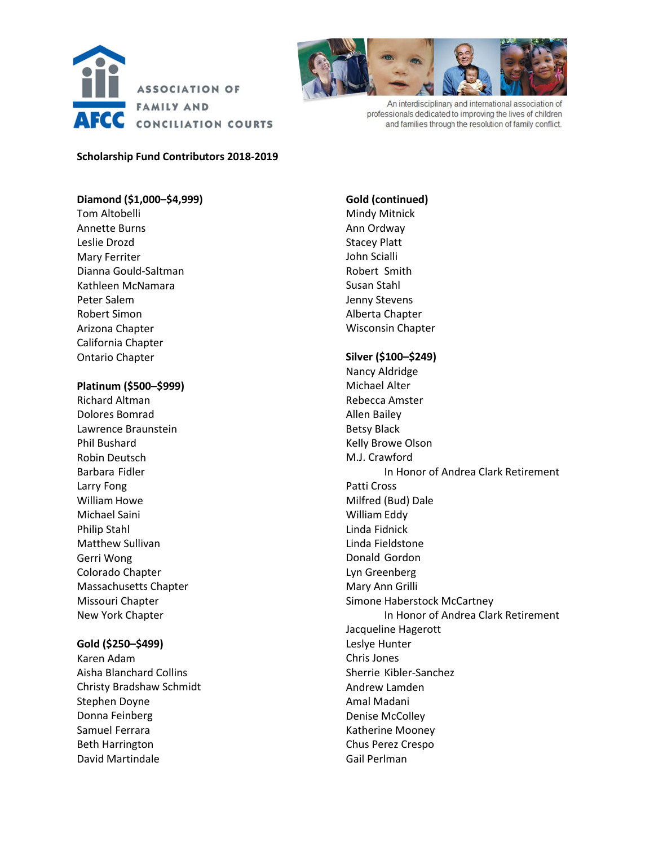



An interdisciplinary and international association of professionals dedicated to improving the lives of children and families through the resolution of family conflict.

### **Scholarship Fund Contributors 2018-2019**

# **Diamond (\$1,000–\$4,999)**

Tom Altobelli Annette Burns Leslie Drozd Mary Ferriter Dianna Gould-Saltman Kathleen McNamara Peter Salem Robert Simon Arizona Chapter California Chapter Ontario Chapter

### **Platinum (\$500–\$999)**

Richard Altman Dolores Bomrad Lawrence Braunstein Phil Bushard Robin Deutsch Barbara Fidler Larry Fong William Howe Michael Saini Philip Stahl Matthew Sullivan Gerri Wong Colorado Chapter Massachusetts Chapter Missouri Chapter New York Chapter

#### **Gold (\$250–\$499)**

Karen Adam Aisha Blanchard Collins Christy Bradshaw Schmidt Stephen Doyne Donna Feinberg Samuel Ferrara Beth Harrington David Martindale

# **Gold (continued)**

Mindy Mitnick Ann Ordway Stacey Platt John Scialli Robert Smith Susan Stahl Jenny Stevens Alberta Chapter Wisconsin Chapter

# **Silver (\$100–\$249)**

Nancy Aldridge Michael Alter Rebecca Amster Allen Bailey Betsy Black Kelly Browe Olson M.J. Crawford In Honor of Andrea Clark Retirement Patti Cross Milfred (Bud) Dale William Eddy Linda Fidnick Linda Fieldstone Donald Gordon Lyn Greenberg Mary Ann Grilli Simone Haberstock McCartney In Honor of Andrea Clark Retirement Jacqueline Hagerott Leslye Hunter Chris Jones Sherrie Kibler-Sanchez Andrew Lamden Amal Madani Denise McColley Katherine Mooney Chus Perez Crespo Gail Perlman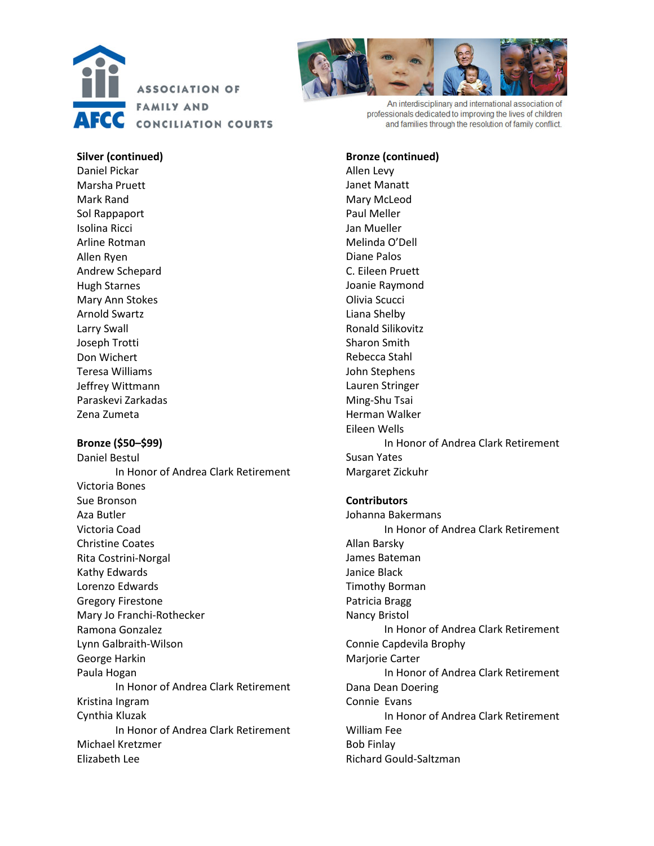



An interdisciplinary and international association of professionals dedicated to improving the lives of children and families through the resolution of family conflict.

# **Silver (continued)**

Daniel Pickar Marsha Pruett Mark Rand Sol Rappaport Isolina Ricci Arline Rotman Allen Ryen Andrew Schepard Hugh Starnes Mary Ann Stokes Arnold Swartz Larry Swall Joseph Trotti Don Wichert Teresa Williams Jeffrey Wittmann Paraskevi Zarkadas Zena Zumeta

#### **Bronze (\$50–\$99)**

Daniel Bestul In Honor of Andrea Clark Retirement Victoria Bones Sue Bronson Aza Butler Victoria Coad Christine Coates Rita Costrini-Norgal Kathy Edwards Lorenzo Edwards Gregory Firestone Mary Jo Franchi-Rothecker Ramona Gonzalez Lynn Galbraith-Wilson George Harkin Paula Hogan In Honor of Andrea Clark Retirement Kristina Ingram Cynthia Kluzak In Honor of Andrea Clark Retirement Michael Kretzmer Elizabeth Lee

# **Bronze (continued)**

Allen Levy Janet Manatt Mary McLeod Paul Meller Jan Mueller Melinda O'Dell Diane Palos C. Eileen Pruett Joanie Raymond Olivia Scucci Liana Shelby Ronald Silikovitz Sharon Smith Rebecca Stahl John Stephens Lauren Stringer Ming-Shu Tsai Herman Walker Eileen Wells In Honor of Andrea Clark Retirement Susan Yates Margaret Zickuhr

# **Contributors**

Johanna Bakermans In Honor of Andrea Clark Retirement Allan Barsky James Bateman Janice Black Timothy Borman Patricia Bragg Nancy Bristol In Honor of Andrea Clark Retirement Connie Capdevila Brophy Marjorie Carter In Honor of Andrea Clark Retirement Dana Dean Doering Connie Evans In Honor of Andrea Clark Retirement William Fee Bob Finlay Richard Gould-Saltzman